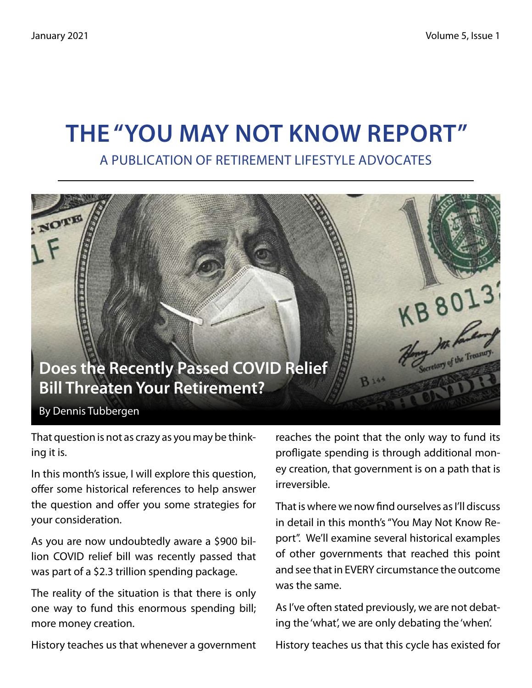# **The "You May Not Know Report"** A Publication of Retirement Lifestyle Advocates

That question is not as crazy as you may be thinking it is.

In this month's issue, I will explore this question, offer some historical references to help answer the question and offer you some strategies for your consideration.

As you are now undoubtedly aware a \$900 billion COVID relief bill was recently passed that was part of a \$2.3 trillion spending package.

The reality of the situation is that there is only one way to fund this enormous spending bill; more money creation.

History teaches us that whenever a government

reaches the point that the only way to fund its profligate spending is through additional money creation, that government is on a path that is irreversible.

That is where we now find ourselves as I'll discuss in detail in this month's "You May Not Know Report". We'll examine several historical examples of other governments that reached this point and see that in EVERY circumstance the outcome was the same.

As I've often stated previously, we are not debating the 'what', we are only debating the 'when'.

History teaches us that this cycle has existed for

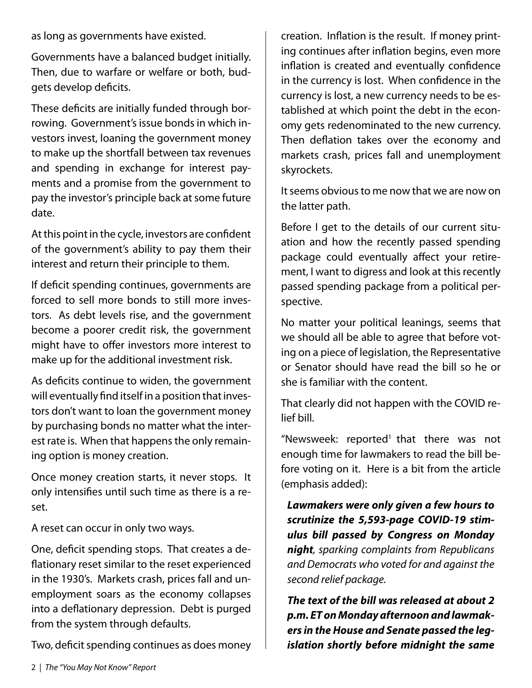as long as governments have existed.

Governments have a balanced budget initially. Then, due to warfare or welfare or both, budgets develop deficits.

These deficits are initially funded through borrowing. Government's issue bonds in which investors invest, loaning the government money to make up the shortfall between tax revenues and spending in exchange for interest payments and a promise from the government to pay the investor's principle back at some future date.

At this point in the cycle, investors are confident of the government's ability to pay them their interest and return their principle to them.

If deficit spending continues, governments are forced to sell more bonds to still more investors. As debt levels rise, and the government become a poorer credit risk, the government might have to offer investors more interest to make up for the additional investment risk.

As deficits continue to widen, the government will eventually find itself in a position that investors don't want to loan the government money by purchasing bonds no matter what the interest rate is. When that happens the only remaining option is money creation.

Once money creation starts, it never stops. It only intensifies until such time as there is a reset.

A reset can occur in only two ways.

One, deficit spending stops. That creates a deflationary reset similar to the reset experienced in the 1930's. Markets crash, prices fall and unemployment soars as the economy collapses into a deflationary depression. Debt is purged from the system through defaults.

Two, deficit spending continues as does money

creation. Inflation is the result. If money printing continues after inflation begins, even more inflation is created and eventually confidence in the currency is lost. When confidence in the currency is lost, a new currency needs to be established at which point the debt in the economy gets redenominated to the new currency. Then deflation takes over the economy and markets crash, prices fall and unemployment skyrockets.

It seems obvious to me now that we are now on the latter path.

Before I get to the details of our current situation and how the recently passed spending package could eventually affect your retirement, I want to digress and look at this recently passed spending package from a political perspective.

No matter your political leanings, seems that we should all be able to agree that before voting on a piece of legislation, the Representative or Senator should have read the bill so he or she is familiar with the content.

That clearly did not happen with the COVID relief bill.

"Newsweek: reported<sup>1</sup> that there was not enough time for lawmakers to read the bill before voting on it. Here is a bit from the article (emphasis added):

*Lawmakers were only given a few hours to scrutinize the 5,593-page COVID-19 stimulus bill passed by Congress on Monday night, sparking complaints from Republicans and Democrats who voted for and against the second relief package.*

*The text of the bill was released at about 2 p.m. ET on Monday afternoon and lawmakers in the House and Senate passed the legislation shortly before midnight the same*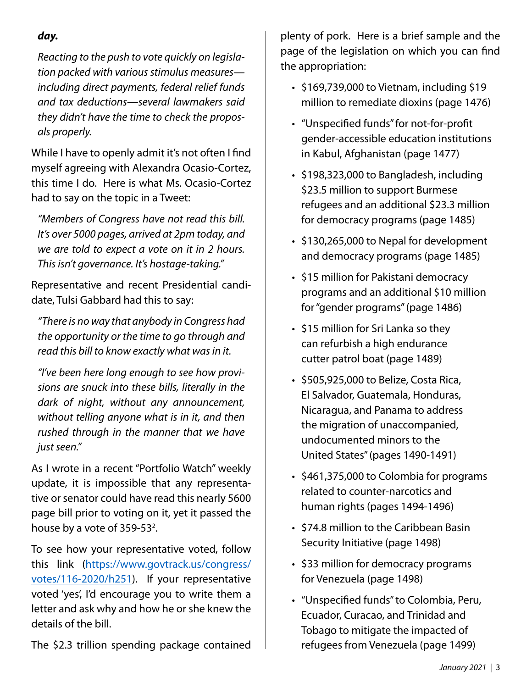#### *day.*

*Reacting to the push to vote quickly on legislation packed with various stimulus measures including direct payments, federal relief funds and tax deductions—several lawmakers said they didn't have the time to check the proposals properly.*

While I have to openly admit it's not often I find myself agreeing with Alexandra Ocasio-Cortez, this time I do. Here is what Ms. Ocasio-Cortez had to say on the topic in a Tweet:

*"Members of Congress have not read this bill. It's over 5000 pages, arrived at 2pm today, and we are told to expect a vote on it in 2 hours. This isn't governance. It's hostage-taking."*

Representative and recent Presidential candidate, Tulsi Gabbard had this to say:

*"There is no way that anybody in Congress had the opportunity or the time to go through and read this bill to know exactly what was in it.*

*"I've been here long enough to see how provisions are snuck into these bills, literally in the dark of night, without any announcement, without telling anyone what is in it, and then rushed through in the manner that we have just seen."*

As I wrote in a recent "Portfolio Watch" weekly update, it is impossible that any representative or senator could have read this nearly 5600 page bill prior to voting on it, yet it passed the house by a vote of  $359-53^2$ .

To see how your representative voted, follow this link (https://www.govtrack.us/congress/ votes/116-2020/h251). If your representative voted 'yes', I'd encourage you to write them a letter and ask why and how he or she knew the details of the bill.

The \$2.3 trillion spending package contained

plenty of pork. Here is a brief sample and the page of the legislation on which you can find the appropriation:

- $\cdot$  \$169,739,000 to Vietnam, including \$19 million to remediate dioxins (page 1476)
- "Unspecified funds" for not-for-profit gender-accessible education institutions in Kabul, Afghanistan (page 1477)
- \$198,323,000 to Bangladesh, including \$23.5 million to support Burmese refugees and an additional \$23.3 million for democracy programs (page 1485)
- \$130,265,000 to Nepal for development and democracy programs (page 1485)
- \$15 million for Pakistani democracy programs and an additional \$10 million for "gender programs" (page 1486)
- \$15 million for Sri Lanka so they can refurbish a high endurance cutter patrol boat (page 1489)
- \$505,925,000 to Belize, Costa Rica, El Salvador, Guatemala, Honduras, Nicaragua, and Panama to address the migration of unaccompanied, undocumented minors to the United States" (pages 1490-1491)
- \$461,375,000 to Colombia for programs related to counter-narcotics and human rights (pages 1494-1496)
- \$74.8 million to the Caribbean Basin Security Initiative (page 1498)
- \$33 million for democracy programs for Venezuela (page 1498)
- "Unspecified funds" to Colombia, Peru, Ecuador, Curacao, and Trinidad and Tobago to mitigate the impacted of refugees from Venezuela (page 1499)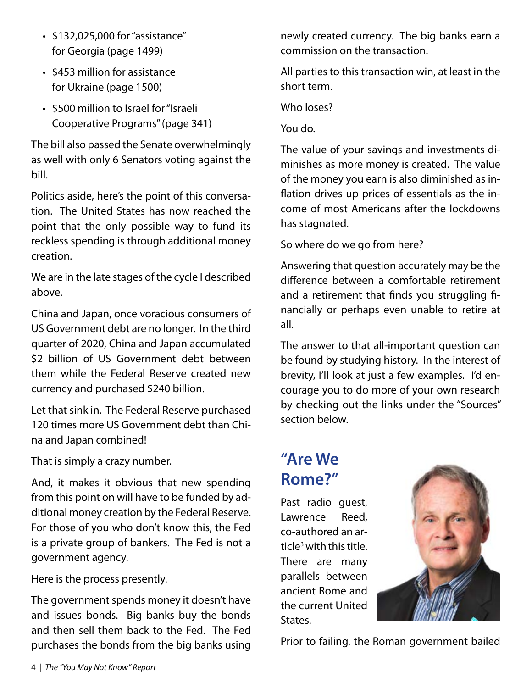- \$132,025,000 for "assistance" for Georgia (page 1499)
- \$453 million for assistance for Ukraine (page 1500)
- \$500 million to Israel for "Israeli Cooperative Programs" (page 341)

The bill also passed the Senate overwhelmingly as well with only 6 Senators voting against the bill.

Politics aside, here's the point of this conversation. The United States has now reached the point that the only possible way to fund its reckless spending is through additional money creation.

We are in the late stages of the cycle I described above.

China and Japan, once voracious consumers of US Government debt are no longer. In the third quarter of 2020, China and Japan accumulated \$2 billion of US Government debt between them while the Federal Reserve created new currency and purchased \$240 billion.

Let that sink in. The Federal Reserve purchased 120 times more US Government debt than China and Japan combined!

That is simply a crazy number.

And, it makes it obvious that new spending from this point on will have to be funded by additional money creation by the Federal Reserve. For those of you who don't know this, the Fed is a private group of bankers. The Fed is not a government agency.

Here is the process presently.

The government spends money it doesn't have and issues bonds. Big banks buy the bonds and then sell them back to the Fed. The Fed purchases the bonds from the big banks using newly created currency. The big banks earn a commission on the transaction.

All parties to this transaction win, at least in the short term.

Who loses?

You do.

The value of your savings and investments diminishes as more money is created. The value of the money you earn is also diminished as inflation drives up prices of essentials as the income of most Americans after the lockdowns has stagnated.

So where do we go from here?

Answering that question accurately may be the difference between a comfortable retirement and a retirement that finds you struggling financially or perhaps even unable to retire at all.

The answer to that all-important question can be found by studying history. In the interest of brevity, I'll look at just a few examples. I'd encourage you to do more of your own research by checking out the links under the "Sources" section below.

## **"Are We Rome?"**

Past radio guest, Lawrence Reed, co-authored an article3 with this title. There are many parallels between ancient Rome and the current United States.



Prior to failing, the Roman government bailed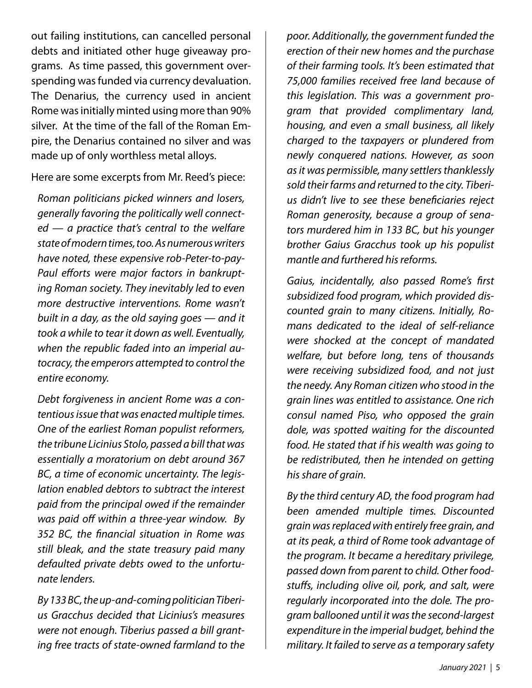out failing institutions, can cancelled personal debts and initiated other huge giveaway programs. As time passed, this government overspending was funded via currency devaluation. The Denarius, the currency used in ancient Rome was initially minted using more than 90% silver. At the time of the fall of the Roman Empire, the Denarius contained no silver and was made up of only worthless metal alloys.

Here are some excerpts from Mr. Reed's piece:

*Roman politicians picked winners and losers, generally favoring the politically well connected — a practice that's central to the welfare state of modern times, too. As numerous writers have noted, these expensive rob-Peter-to-pay-Paul efforts were major factors in bankrupting Roman society. They inevitably led to even more destructive interventions. Rome wasn't built in a day, as the old saying goes — and it took a while to tear it down as well. Eventually, when the republic faded into an imperial autocracy, the emperors attempted to control the entire economy.*

*Debt forgiveness in ancient Rome was a contentious issue that was enacted multiple times. One of the earliest Roman populist reformers, the tribune Licinius Stolo, passed a bill that was essentially a moratorium on debt around 367 BC, a time of economic uncertainty. The legislation enabled debtors to subtract the interest paid from the principal owed if the remainder was paid off within a three-year window. By 352 BC, the financial situation in Rome was still bleak, and the state treasury paid many defaulted private debts owed to the unfortunate lenders.*

*By 133 BC, the up-and-coming politician Tiberius Gracchus decided that Licinius's measures were not enough. Tiberius passed a bill granting free tracts of state-owned farmland to the*  *poor. Additionally, the government funded the erection of their new homes and the purchase of their farming tools. It's been estimated that 75,000 families received free land because of this legislation. This was a government program that provided complimentary land, housing, and even a small business, all likely charged to the taxpayers or plundered from newly conquered nations. However, as soon as it was permissible, many settlers thanklessly sold their farms and returned to the city. Tiberius didn't live to see these beneficiaries reject Roman generosity, because a group of senators murdered him in 133 BC, but his younger brother Gaius Gracchus took up his populist mantle and furthered his reforms.*

*Gaius, incidentally, also passed Rome's first subsidized food program, which provided discounted grain to many citizens. Initially, Romans dedicated to the ideal of self-reliance were shocked at the concept of mandated welfare, but before long, tens of thousands were receiving subsidized food, and not just the needy. Any Roman citizen who stood in the grain lines was entitled to assistance. One rich consul named Piso, who opposed the grain dole, was spotted waiting for the discounted food. He stated that if his wealth was going to be redistributed, then he intended on getting his share of grain.*

*By the third century AD, the food program had been amended multiple times. Discounted grain was replaced with entirely free grain, and at its peak, a third of Rome took advantage of the program. It became a hereditary privilege, passed down from parent to child. Other foodstuffs, including olive oil, pork, and salt, were regularly incorporated into the dole. The program ballooned until it was the second-largest expenditure in the imperial budget, behind the military. It failed to serve as a temporary safety*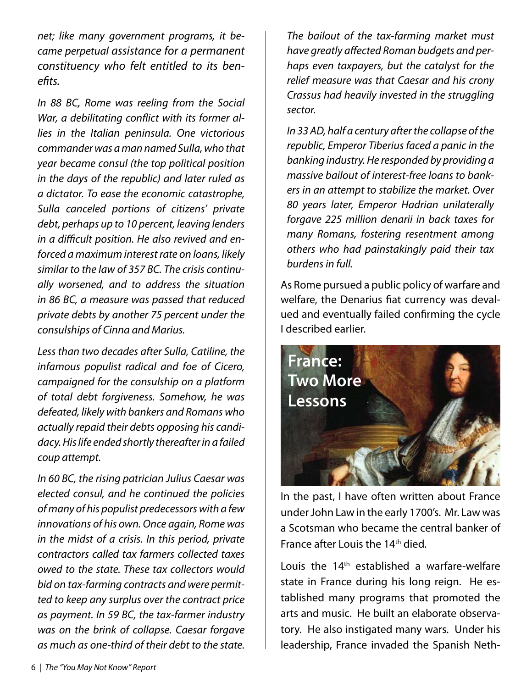*net; like many government programs, it became perpetual assistance for a permanent constituency who felt entitled to its benefits.*

*In 88 BC, Rome was reeling from the Social War, a debilitating conflict with its former allies in the Italian peninsula. One victorious commander was a man named Sulla, who that year became consul (the top political position in the days of the republic) and later ruled as a dictator. To ease the economic catastrophe, Sulla canceled portions of citizens' private debt, perhaps up to 10 percent, leaving lenders in a difficult position. He also revived and enforced a maximum interest rate on loans, likely similar to the law of 357 BC. The crisis continually worsened, and to address the situation in 86 BC, a measure was passed that reduced private debts by another 75 percent under the consulships of Cinna and Marius.*

*Less than two decades after Sulla, Catiline, the infamous populist radical and foe of Cicero, campaigned for the consulship on a platform of total debt forgiveness. Somehow, he was defeated, likely with bankers and Romans who actually repaid their debts opposing his candidacy. His life ended shortly thereafter in a failed coup attempt.*

*In 60 BC, the rising patrician Julius Caesar was elected consul, and he continued the policies of many of his populist predecessors with a few innovations of his own. Once again, Rome was in the midst of a crisis. In this period, private contractors called tax farmers collected taxes owed to the state. These tax collectors would bid on tax-farming contracts and were permitted to keep any surplus over the contract price as payment. In 59 BC, the tax-farmer industry was on the brink of collapse. Caesar forgave as much as one-third of their debt to the state.* 

*The bailout of the tax-farming market must have greatly affected Roman budgets and perhaps even taxpayers, but the catalyst for the relief measure was that Caesar and his crony Crassus had heavily invested in the struggling sector.*

*In 33 AD, half a century after the collapse of the republic, Emperor Tiberius faced a panic in the banking industry. He responded by providing a massive bailout of interest-free loans to bankers in an attempt to stabilize the market. Over 80 years later, Emperor Hadrian unilaterally forgave 225 million denarii in back taxes for many Romans, fostering resentment among others who had painstakingly paid their tax burdens in full.*

As Rome pursued a public policy of warfare and welfare, the Denarius fiat currency was devalued and eventually failed confirming the cycle I described earlier.



In the past, I have often written about France under John Law in the early 1700's. Mr. Law was a Scotsman who became the central banker of France after Louis the  $14<sup>th</sup>$  died.

Louis the 14th established a warfare-welfare state in France during his long reign. He established many programs that promoted the arts and music. He built an elaborate observatory. He also instigated many wars. Under his leadership, France invaded the Spanish Neth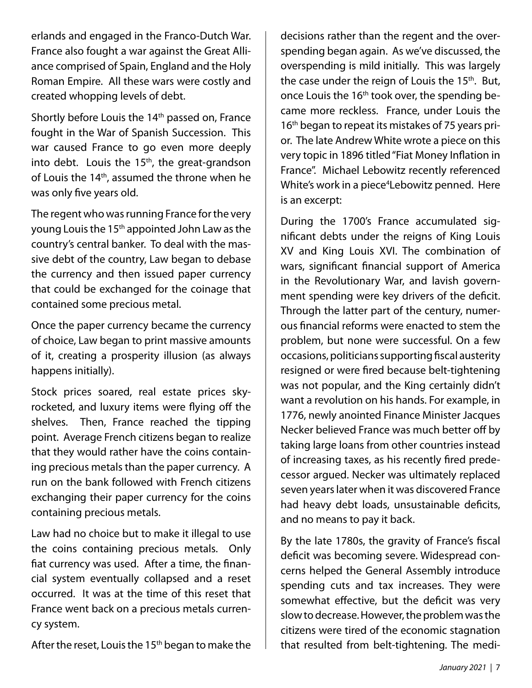erlands and engaged in the Franco-Dutch War. France also fought a war against the Great Alliance comprised of Spain, England and the Holy Roman Empire. All these wars were costly and created whopping levels of debt.

Shortly before Louis the 14<sup>th</sup> passed on, France fought in the War of Spanish Succession. This war caused France to go even more deeply into debt. Louis the 15<sup>th</sup>, the great-grandson of Louis the 14<sup>th</sup>, assumed the throne when he was only five years old.

The regent who was running France for the very young Louis the 15<sup>th</sup> appointed John Law as the country's central banker. To deal with the massive debt of the country, Law began to debase the currency and then issued paper currency that could be exchanged for the coinage that contained some precious metal.

Once the paper currency became the currency of choice, Law began to print massive amounts of it, creating a prosperity illusion (as always happens initially).

Stock prices soared, real estate prices skyrocketed, and luxury items were flying off the shelves. Then, France reached the tipping point. Average French citizens began to realize that they would rather have the coins containing precious metals than the paper currency. A run on the bank followed with French citizens exchanging their paper currency for the coins containing precious metals.

Law had no choice but to make it illegal to use the coins containing precious metals. Only fiat currency was used. After a time, the financial system eventually collapsed and a reset occurred. It was at the time of this reset that France went back on a precious metals currency system.

After the reset, Louis the 15<sup>th</sup> began to make the

decisions rather than the regent and the overspending began again. As we've discussed, the overspending is mild initially. This was largely the case under the reign of Louis the 15<sup>th</sup>. But, once Louis the 16th took over, the spending became more reckless. France, under Louis the 16<sup>th</sup> began to repeat its mistakes of 75 years prior. The late Andrew White wrote a piece on this very topic in 1896 titled "Fiat Money Inflation in France". Michael Lebowitz recently referenced White's work in a piece<sup>4</sup>Lebowitz penned. Here is an excerpt:

During the 1700's France accumulated significant debts under the reigns of King Louis XV and King Louis XVI. The combination of wars, significant financial support of America in the Revolutionary War, and lavish government spending were key drivers of the deficit. Through the latter part of the century, numerous financial reforms were enacted to stem the problem, but none were successful. On a few occasions, politicians supporting fiscal austerity resigned or were fired because belt-tightening was not popular, and the King certainly didn't want a revolution on his hands. For example, in 1776, newly anointed Finance Minister Jacques Necker believed France was much better off by taking large loans from other countries instead of increasing taxes, as his recently fired predecessor argued. Necker was ultimately replaced seven years later when it was discovered France had heavy debt loads, unsustainable deficits, and no means to pay it back.

By the late 1780s, the gravity of France's fiscal deficit was becoming severe. Widespread concerns helped the General Assembly introduce spending cuts and tax increases. They were somewhat effective, but the deficit was very slow to decrease. However, the problem was the citizens were tired of the economic stagnation that resulted from belt-tightening. The medi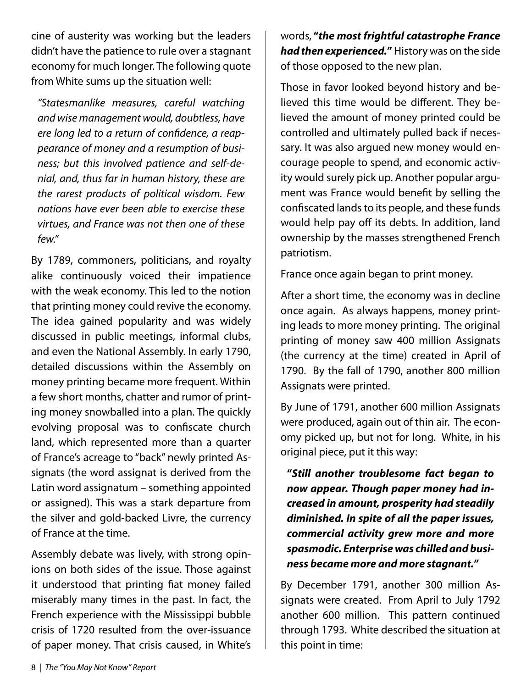cine of austerity was working but the leaders didn't have the patience to rule over a stagnant economy for much longer. The following quote from White sums up the situation well:

*"Statesmanlike measures, careful watching and wise management would, doubtless, have ere long led to a return of confidence, a reappearance of money and a resumption of business; but this involved patience and self-denial, and, thus far in human history, these are the rarest products of political wisdom. Few nations have ever been able to exercise these virtues, and France was not then one of these few."*

By 1789, commoners, politicians, and royalty alike continuously voiced their impatience with the weak economy. This led to the notion that printing money could revive the economy. The idea gained popularity and was widely discussed in public meetings, informal clubs, and even the National Assembly. In early 1790, detailed discussions within the Assembly on money printing became more frequent. Within a few short months, chatter and rumor of printing money snowballed into a plan. The quickly evolving proposal was to confiscate church land, which represented more than a quarter of France's acreage to "back" newly printed Assignats (the word assignat is derived from the Latin word assignatum – something appointed or assigned). This was a stark departure from the silver and gold-backed Livre, the currency of France at the time.

Assembly debate was lively, with strong opinions on both sides of the issue. Those against it understood that printing fiat money failed miserably many times in the past. In fact, the French experience with the Mississippi bubble crisis of 1720 resulted from the over-issuance of paper money. That crisis caused, in White's words, **"***the most frightful catastrophe France had then experienced.***"** History was on the side of those opposed to the new plan.

Those in favor looked beyond history and believed this time would be different. They believed the amount of money printed could be controlled and ultimately pulled back if necessary. It was also argued new money would encourage people to spend, and economic activity would surely pick up. Another popular argument was France would benefit by selling the confiscated lands to its people, and these funds would help pay off its debts. In addition, land ownership by the masses strengthened French patriotism.

France once again began to print money.

After a short time, the economy was in decline once again. As always happens, money printing leads to more money printing. The original printing of money saw 400 million Assignats (the currency at the time) created in April of 1790. By the fall of 1790, another 800 million Assignats were printed.

By June of 1791, another 600 million Assignats were produced, again out of thin air. The economy picked up, but not for long. White, in his original piece, put it this way:

**"***Still another troublesome fact began to now appear. Though paper money had increased in amount, prosperity had steadily diminished. In spite of all the paper issues, commercial activity grew more and more spasmodic. Enterprise was chilled and business became more and more stagnant.***"**

By December 1791, another 300 million Assignats were created. From April to July 1792 another 600 million. This pattern continued through 1793. White described the situation at this point in time: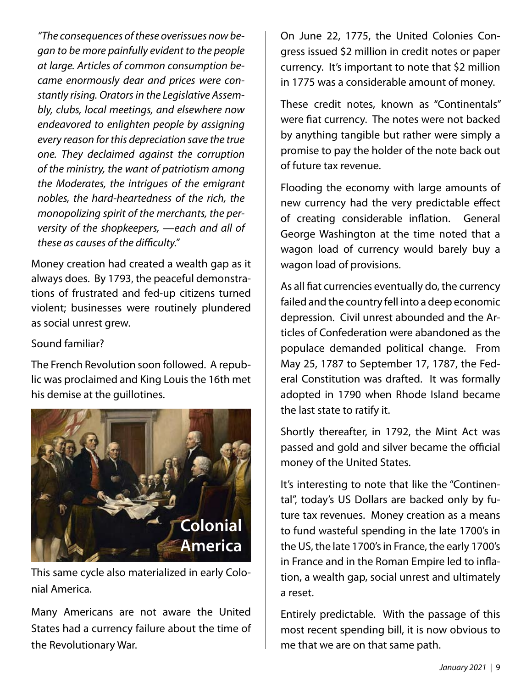*"The consequences of these overissues now began to be more painfully evident to the people at large. Articles of common consumption became enormously dear and prices were constantly rising. Orators in the Legislative Assembly, clubs, local meetings, and elsewhere now endeavored to enlighten people by assigning every reason for this depreciation save the true one. They declaimed against the corruption of the ministry, the want of patriotism among the Moderates, the intrigues of the emigrant nobles, the hard-heartedness of the rich, the monopolizing spirit of the merchants, the perversity of the shopkeepers, —each and all of these as causes of the difficulty."*

Money creation had created a wealth gap as it always does. By 1793, the peaceful demonstrations of frustrated and fed-up citizens turned violent; businesses were routinely plundered as social unrest grew.

#### Sound familiar?

The French Revolution soon followed. A republic was proclaimed and King Louis the 16th met his demise at the guillotines.



This same cycle also materialized in early Colonial America.

Many Americans are not aware the United States had a currency failure about the time of the Revolutionary War.

On June 22, 1775, the United Colonies Congress issued \$2 million in credit notes or paper currency. It's important to note that \$2 million in 1775 was a considerable amount of money.

These credit notes, known as "Continentals" were fiat currency. The notes were not backed by anything tangible but rather were simply a promise to pay the holder of the note back out of future tax revenue.

Flooding the economy with large amounts of new currency had the very predictable effect of creating considerable inflation. General George Washington at the time noted that a wagon load of currency would barely buy a wagon load of provisions.

As all fiat currencies eventually do, the currency failed and the country fell into a deep economic depression. Civil unrest abounded and the Articles of Confederation were abandoned as the populace demanded political change. From May 25, 1787 to September 17, 1787, the Federal Constitution was drafted. It was formally adopted in 1790 when Rhode Island became the last state to ratify it.

Shortly thereafter, in 1792, the Mint Act was passed and gold and silver became the official money of the United States.

It's interesting to note that like the "Continental", today's US Dollars are backed only by future tax revenues. Money creation as a means to fund wasteful spending in the late 1700's in the US, the late 1700's in France, the early 1700's in France and in the Roman Empire led to inflation, a wealth gap, social unrest and ultimately a reset.

Entirely predictable. With the passage of this most recent spending bill, it is now obvious to me that we are on that same path.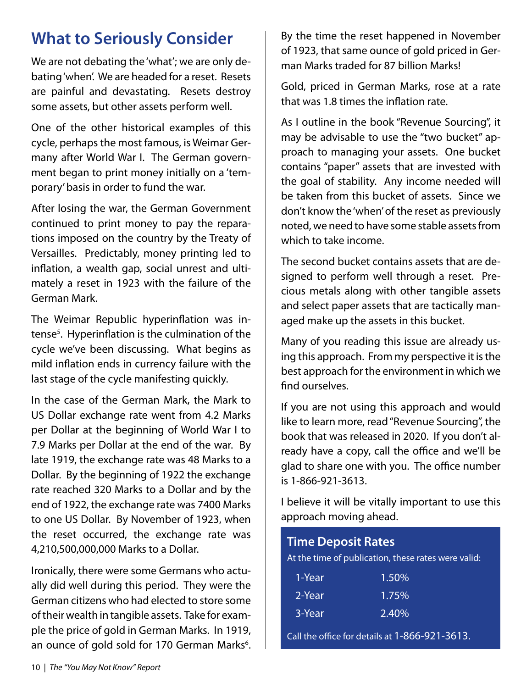#### **What to Seriously Consider**

We are not debating the 'what'; we are only debating 'when'. We are headed for a reset. Resets are painful and devastating. Resets destroy some assets, but other assets perform well.

One of the other historical examples of this cycle, perhaps the most famous, is Weimar Germany after World War I. The German government began to print money initially on a 'temporary' basis in order to fund the war.

After losing the war, the German Government continued to print money to pay the reparations imposed on the country by the Treaty of Versailles. Predictably, money printing led to inflation, a wealth gap, social unrest and ultimately a reset in 1923 with the failure of the German Mark.

The Weimar Republic hyperinflation was intense<sup>5</sup>. Hyperinflation is the culmination of the cycle we've been discussing. What begins as mild inflation ends in currency failure with the last stage of the cycle manifesting quickly.

In the case of the German Mark, the Mark to US Dollar exchange rate went from 4.2 Marks per Dollar at the beginning of World War I to 7.9 Marks per Dollar at the end of the war. By late 1919, the exchange rate was 48 Marks to a Dollar. By the beginning of 1922 the exchange rate reached 320 Marks to a Dollar and by the end of 1922, the exchange rate was 7400 Marks to one US Dollar. By November of 1923, when the reset occurred, the exchange rate was 4,210,500,000,000 Marks to a Dollar.

Ironically, there were some Germans who actually did well during this period. They were the German citizens who had elected to store some of their wealth in tangible assets. Take for example the price of gold in German Marks. In 1919, an ounce of gold sold for 170 German Marks<sup>6</sup>. By the time the reset happened in November of 1923, that same ounce of gold priced in German Marks traded for 87 billion Marks!

Gold, priced in German Marks, rose at a rate that was 1.8 times the inflation rate.

As I outline in the book "Revenue Sourcing", it may be advisable to use the "two bucket" approach to managing your assets. One bucket contains "paper" assets that are invested with the goal of stability. Any income needed will be taken from this bucket of assets. Since we don't know the 'when' of the reset as previously noted, we need to have some stable assets from which to take income.

The second bucket contains assets that are designed to perform well through a reset. Precious metals along with other tangible assets and select paper assets that are tactically managed make up the assets in this bucket.

Many of you reading this issue are already using this approach. From my perspective it is the best approach for the environment in which we find ourselves.

If you are not using this approach and would like to learn more, read "Revenue Sourcing", the book that was released in 2020. If you don't already have a copy, call the office and we'll be glad to share one with you. The office number is 1-866-921-3613.

I believe it will be vitally important to use this approach moving ahead.

| <b>Time Deposit Rates</b><br>At the time of publication, these rates were valid: |       |
|----------------------------------------------------------------------------------|-------|
| 1-Year                                                                           | 1.50% |
| 2-Year                                                                           | 1.75% |
| 3-Year                                                                           | 2.40% |
| Call the office for details at 1-866-921-3613.                                   |       |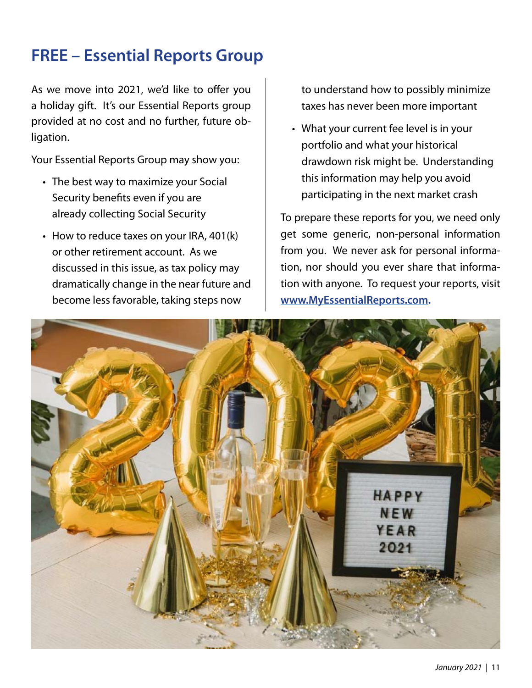## **FREE – Essential Reports Group**

As we move into 2021, we'd like to offer you a holiday gift. It's our Essential Reports group provided at no cost and no further, future obligation.

Your Essential Reports Group may show you:

- The best way to maximize your Social Security benefits even if you are already collecting Social Security
- How to reduce taxes on your IRA, 401(k) or other retirement account. As we discussed in this issue, as tax policy may dramatically change in the near future and become less favorable, taking steps now

to understand how to possibly minimize taxes has never been more important

What your current fee level is in your •portfolio and what your historical drawdown risk might be. Understanding this information may help you avoid participating in the next market crash

To prepare these reports for you, we need only get some generic, non-personal information from you. We never ask for personal information, nor should you ever share that information with anyone. To request your reports, visit **www.MyEssentialReports.com.**